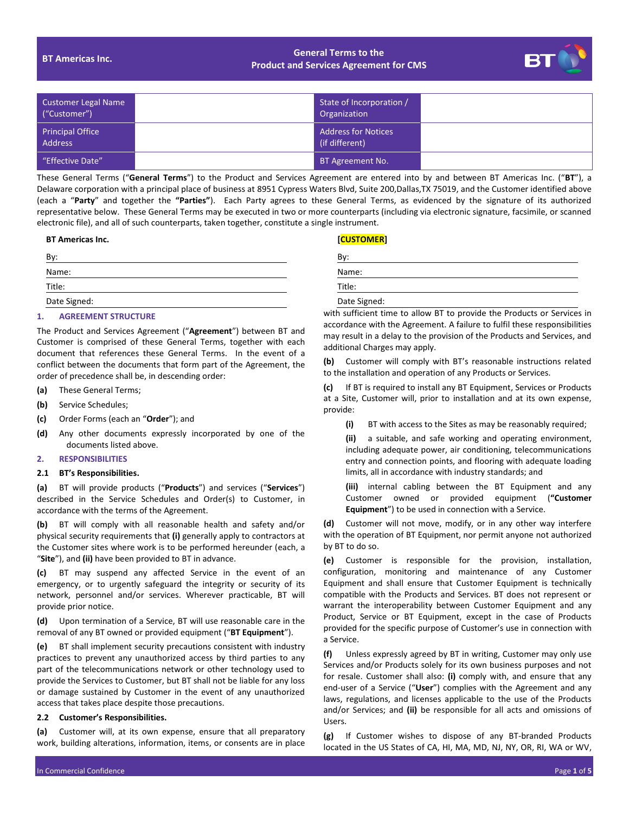# **BT Americas Inc. General Terms to the Product and Services Agreement for CMS**



| Customer Legal Name<br>("Customer") | State of Incorporation /<br>Organization     |  |
|-------------------------------------|----------------------------------------------|--|
| Principal Office<br><b>Address</b>  | <b>Address for Notices</b><br>(if different) |  |
| l "Effective Date" '                | BT Agreement No.                             |  |

These General Terms ("**General Terms**") to the Product and Services Agreement are entered into by and between BT Americas Inc. ("**BT**"), a Delaware corporation with a principal place of business at 8951 Cypress Waters Blvd, Suite 200,Dallas,TX 75019, and the Customer identified above (each a "**Party**" and together the **"Parties"**). Each Party agrees to these General Terms, as evidenced by the signature of its authorized representative below. These General Terms may be executed in two or more counterparts (including via electronic signature, facsimile, or scanned electronic file), and all of such counterparts, taken together, constitute a single instrument.

# **BT Americas Inc. [CUSTOMER]**

| Bv:          | Bv:                                                     |
|--------------|---------------------------------------------------------|
| Name:        | Name:                                                   |
| Title:       | Title:                                                  |
| Date Signed: | Date Signed:                                            |
|              | $\sim$ $\sim$ $\sim$ $\sim$ $\sim$ $\sim$ $\sim$ $\sim$ |

# **1. AGREEMENT STRUCTURE**

The Product and Services Agreement ("**Agreement**") between BT and Customer is comprised of these General Terms, together with each document that references these General Terms. In the event of a conflict between the documents that form part of the Agreement, the order of precedence shall be, in descending order:

- **(a)** These General Terms;
- **(b)** Service Schedules;
- **(c)** Order Forms (each an "**Order**"); and
- **(d)** Any other documents expressly incorporated by one of the documents listed above.

#### **2. RESPONSIBILITIES**

#### **2.1 BT's Responsibilities.**

**(a)** BT will provide products ("**Products**") and services ("**Services**") described in the Service Schedules and Order(s) to Customer, in accordance with the terms of the Agreement.

**(b)** BT will comply with all reasonable health and safety and/or physical security requirements that **(i)** generally apply to contractors at the Customer sites where work is to be performed hereunder (each, a "**Site**"), and **(ii)** have been provided to BT in advance.

**(c)** BT may suspend any affected Service in the event of an emergency, or to urgently safeguard the integrity or security of its network, personnel and/or services. Wherever practicable, BT will provide prior notice.

**(d)** Upon termination of a Service, BT will use reasonable care in the removal of any BT owned or provided equipment ("**BT Equipment**").

**(e)** BT shall implement security precautions consistent with industry practices to prevent any unauthorized access by third parties to any part of the telecommunications network or other technology used to provide the Services to Customer, but BT shall not be liable for any loss or damage sustained by Customer in the event of any unauthorized access that takes place despite those precautions.

# **2.2 Customer's Responsibilities.**

**(a)** Customer will, at its own expense, ensure that all preparatory work, building alterations, information, items, or consents are in place

| BV.          |  |  |
|--------------|--|--|
| Name:        |  |  |
| Title:       |  |  |
| Date Signed: |  |  |

with sufficient time to allow BT to provide the Products or Services in accordance with the Agreement. A failure to fulfil these responsibilities may result in a delay to the provision of the Products and Services, and additional Charges may apply.

**(b)** Customer will comply with BT's reasonable instructions related to the installation and operation of any Products or Services.

**(c)** If BT is required to install any BT Equipment, Services or Products at a Site, Customer will, prior to installation and at its own expense, provide:

**(i)** BT with access to the Sites as may be reasonably required;

**(ii)** a suitable, and safe working and operating environment, including adequate power, air conditioning, telecommunications entry and connection points, and flooring with adequate loading limits, all in accordance with industry standards; and

**(iii)** internal cabling between the BT Equipment and any Customer owned or provided equipment (**"Customer Equipment**") to be used in connection with a Service.

**(d)** Customer will not move, modify, or in any other way interfere with the operation of BT Equipment, nor permit anyone not authorized by BT to do so.

**(e)** Customer is responsible for the provision, installation, configuration, monitoring and maintenance of any Customer Equipment and shall ensure that Customer Equipment is technically compatible with the Products and Services. BT does not represent or warrant the interoperability between Customer Equipment and any Product, Service or BT Equipment, except in the case of Products provided for the specific purpose of Customer's use in connection with a Service.

**(f)** Unless expressly agreed by BT in writing, Customer may only use Services and/or Products solely for its own business purposes and not for resale. Customer shall also: **(i)** comply with, and ensure that any end-user of a Service ("**User**") complies with the Agreement and any laws, regulations, and licenses applicable to the use of the Products and/or Services; and **(ii)** be responsible for all acts and omissions of Users.

**(g)** If Customer wishes to dispose of any BT-branded Products located in the US States of CA, HI, MA, MD, NJ, NY, OR, RI, WA or WV,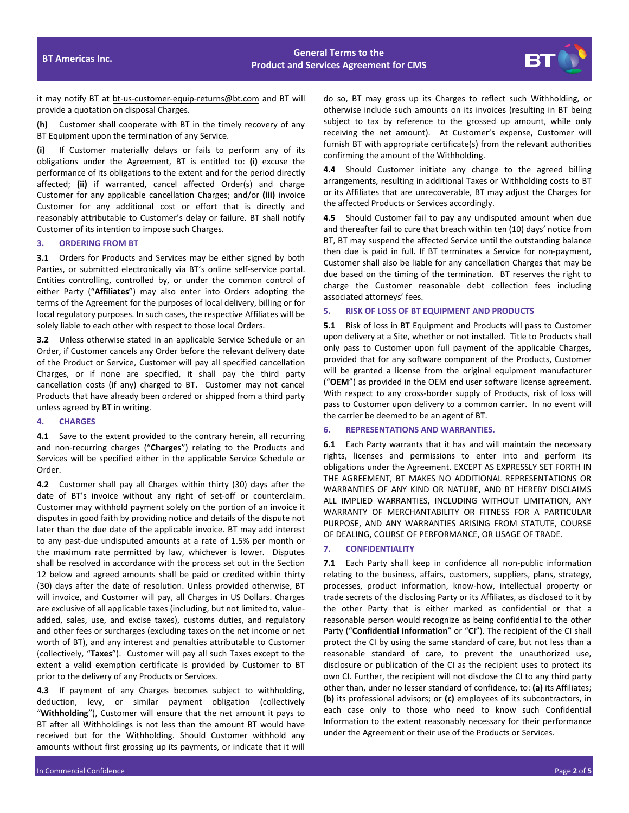# **BT Americas Inc. General Terms to the Product and Services Agreement for CMS**



it may notify BT at bt-us-customer-equip-returns@bt.com and BT will provide a quotation on disposal Charges.

**(h)** Customer shall cooperate with BT in the timely recovery of any BT Equipment upon the termination of any Service.

**(i)** If Customer materially delays or fails to perform any of its obligations under the Agreement, BT is entitled to: **(i)** excuse the performance of its obligations to the extent and for the period directly affected; **(ii)** if warranted, cancel affected Order(s) and charge Customer for any applicable cancellation Charges; and/or **(iii)** invoice Customer for any additional cost or effort that is directly and reasonably attributable to Customer's delay or failure. BT shall notify Customer of its intention to impose such Charges.

#### **3. ORDERING FROM BT**

**3.1** Orders for Products and Services may be either signed by both Parties, or submitted electronically via BT's online self-service portal. Entities controlling, controlled by, or under the common control of either Party ("**Affiliates**") may also enter into Orders adopting the terms of the Agreement for the purposes of local delivery, billing or for local regulatory purposes. In such cases, the respective Affiliates will be solely liable to each other with respect to those local Orders.

**3.2** Unless otherwise stated in an applicable Service Schedule or an Order, if Customer cancels any Order before the relevant delivery date of the Product or Service, Customer will pay all specified cancellation Charges, or if none are specified, it shall pay the third party cancellation costs (if any) charged to BT. Customer may not cancel Products that have already been ordered or shipped from a third party unless agreed by BT in writing.

# **4. CHARGES**

**4.1** Save to the extent provided to the contrary herein, all recurring and non-recurring charges ("**Charges**") relating to the Products and Services will be specified either in the applicable Service Schedule or Order.

**4.2** Customer shall pay all Charges within thirty (30) days after the date of BT's invoice without any right of set-off or counterclaim. Customer may withhold payment solely on the portion of an invoice it disputes in good faith by providing notice and details of the dispute not later than the due date of the applicable invoice. BT may add interest to any past-due undisputed amounts at a rate of 1.5% per month or the maximum rate permitted by law, whichever is lower. Disputes shall be resolved in accordance with the process set out in the Section 12 below and agreed amounts shall be paid or credited within thirty (30) days after the date of resolution. Unless provided otherwise, BT will invoice, and Customer will pay, all Charges in US Dollars. Charges are exclusive of all applicable taxes (including, but not limited to, valueadded, sales, use, and excise taxes), customs duties, and regulatory and other fees or surcharges (excluding taxes on the net income or net worth of BT), and any interest and penalties attributable to Customer (collectively, "**Taxes**"). Customer will pay all such Taxes except to the extent a valid exemption certificate is provided by Customer to BT prior to the delivery of any Products or Services.

**4.3** If payment of any Charges becomes subject to withholding, deduction, levy, or similar payment obligation (collectively "**Withholding**"), Customer will ensure that the net amount it pays to BT after all Withholdings is not less than the amount BT would have received but for the Withholding. Should Customer withhold any amounts without first grossing up its payments, or indicate that it will do so, BT may gross up its Charges to reflect such Withholding, or otherwise include such amounts on its invoices (resulting in BT being subject to tax by reference to the grossed up amount, while only receiving the net amount). At Customer's expense, Customer will furnish BT with appropriate certificate(s) from the relevant authorities confirming the amount of the Withholding.

**4.4** Should Customer initiate any change to the agreed billing arrangements, resulting in additional Taxes or Withholding costs to BT or its Affiliates that are unrecoverable, BT may adjust the Charges for the affected Products or Services accordingly.

**4.5** Should Customer fail to pay any undisputed amount when due and thereafter fail to cure that breach within ten (10) days' notice from BT, BT may suspend the affected Service until the outstanding balance then due is paid in full. If BT terminates a Service for non-payment, Customer shall also be liable for any cancellation Charges that may be due based on the timing of the termination. BT reserves the right to charge the Customer reasonable debt collection fees including associated attorneys' fees.

### **5. RISK OF LOSS OF BT EQUIPMENT AND PRODUCTS**

**5.1** Risk of loss in BT Equipment and Products will pass to Customer upon delivery at a Site, whether or not installed. Title to Products shall only pass to Customer upon full payment of the applicable Charges, provided that for any software component of the Products, Customer will be granted a license from the original equipment manufacturer ("**OEM**") as provided in the OEM end user software license agreement. With respect to any cross-border supply of Products, risk of loss will pass to Customer upon delivery to a common carrier. In no event will the carrier be deemed to be an agent of BT.

# **6. REPRESENTATIONS AND WARRANTIES.**

**6.1** Each Party warrants that it has and will maintain the necessary rights, licenses and permissions to enter into and perform its obligations under the Agreement. EXCEPT AS EXPRESSLY SET FORTH IN THE AGREEMENT, BT MAKES NO ADDITIONAL REPRESENTATIONS OR WARRANTIES OF ANY KIND OR NATURE, AND BT HEREBY DISCLAIMS ALL IMPLIED WARRANTIES, INCLUDING WITHOUT LIMITATION, ANY WARRANTY OF MERCHANTABILITY OR FITNESS FOR A PARTICULAR PURPOSE, AND ANY WARRANTIES ARISING FROM STATUTE, COURSE OF DEALING, COURSE OF PERFORMANCE, OR USAGE OF TRADE.

#### **7. CONFIDENTIALITY**

**7.1** Each Party shall keep in confidence all non-public information relating to the business, affairs, customers, suppliers, plans, strategy, processes, product information, know-how, intellectual property or trade secrets of the disclosing Party or its Affiliates, as disclosed to it by the other Party that is either marked as confidential or that a reasonable person would recognize as being confidential to the other Party ("**Confidential Information**" or "**CI**"). The recipient of the CI shall protect the CI by using the same standard of care, but not less than a reasonable standard of care, to prevent the unauthorized use, disclosure or publication of the CI as the recipient uses to protect its own CI. Further, the recipient will not disclose the CI to any third party other than, under no lesser standard of confidence, to: **(a)** its Affiliates; **(b)** its professional advisors; or **(c)** employees of its subcontractors, in each case only to those who need to know such Confidential Information to the extent reasonably necessary for their performance under the Agreement or their use of the Products or Services.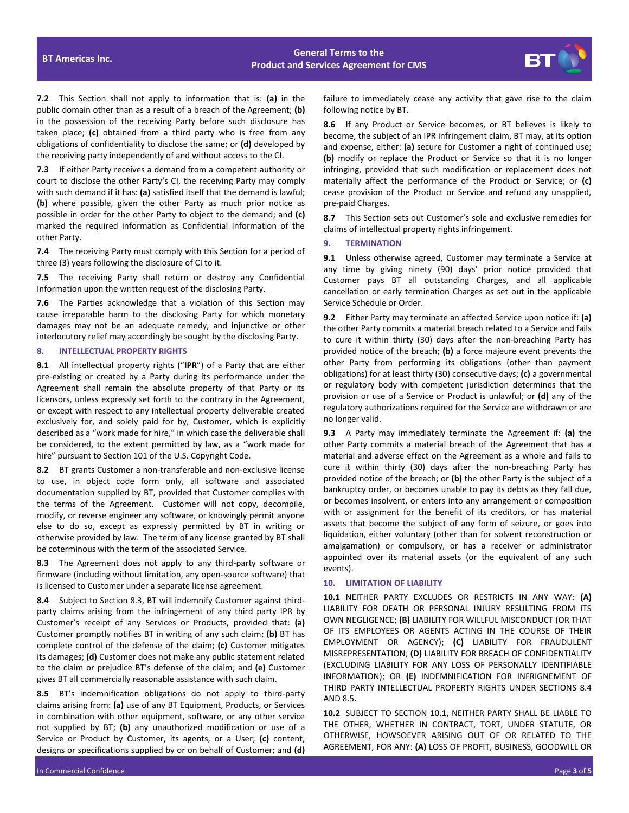

**7.2** This Section shall not apply to information that is: **(a)** in the public domain other than as a result of a breach of the Agreement; **(b)** in the possession of the receiving Party before such disclosure has taken place; **(c)** obtained from a third party who is free from any obligations of confidentiality to disclose the same; or **(d)** developed by the receiving party independently of and without access to the CI.

**7.3** If either Party receives a demand from a competent authority or court to disclose the other Party's CI, the receiving Party may comply with such demand if it has: **(a)** satisfied itself that the demand is lawful; **(b)** where possible, given the other Party as much prior notice as possible in order for the other Party to object to the demand; and **(c)** marked the required information as Confidential Information of the other Party.

**7.4** The receiving Party must comply with this Section for a period of three (3) years following the disclosure of CI to it.

**7.5** The receiving Party shall return or destroy any Confidential Information upon the written request of the disclosing Party.

**7.6** The Parties acknowledge that a violation of this Section may cause irreparable harm to the disclosing Party for which monetary damages may not be an adequate remedy, and injunctive or other interlocutory relief may accordingly be sought by the disclosing Party.

# **8. INTELLECTUAL PROPERTY RIGHTS**

**8.1** All intellectual property rights ("**IPR**") of a Party that are either pre-existing or created by a Party during its performance under the Agreement shall remain the absolute property of that Party or its licensors, unless expressly set forth to the contrary in the Agreement, or except with respect to any intellectual property deliverable created exclusively for, and solely paid for by, Customer, which is explicitly described as a "work made for hire," in which case the deliverable shall be considered, to the extent permitted by law, as a "work made for hire" pursuant to Section 101 of the U.S. Copyright Code.

**8.2** BT grants Customer a non-transferable and non-exclusive license to use, in object code form only, all software and associated documentation supplied by BT, provided that Customer complies with the terms of the Agreement. Customer will not copy, decompile, modify, or reverse engineer any software, or knowingly permit anyone else to do so, except as expressly permitted by BT in writing or otherwise provided by law. The term of any license granted by BT shall be coterminous with the term of the associated Service.

**8.3** The Agreement does not apply to any third-party software or firmware (including without limitation, any open-source software) that is licensed to Customer under a separate license agreement.

**8.4** Subject to Section 8.3, BT will indemnify Customer against thirdparty claims arising from the infringement of any third party IPR by Customer's receipt of any Services or Products, provided that: **(a)** Customer promptly notifies BT in writing of any such claim; **(b)** BT has complete control of the defense of the claim; **(c)** Customer mitigates its damages; **(d)** Customer does not make any public statement related to the claim or prejudice BT's defense of the claim; and **(e)** Customer gives BT all commercially reasonable assistance with such claim.

**8.5** BT's indemnification obligations do not apply to third-party claims arising from: **(a)** use of any BT Equipment, Products, or Services in combination with other equipment, software, or any other service not supplied by BT; **(b)** any unauthorized modification or use of a Service or Product by Customer, its agents, or a User; **(c)** content, designs or specifications supplied by or on behalf of Customer; and **(d)** failure to immediately cease any activity that gave rise to the claim following notice by BT.

**8.6** If any Product or Service becomes, or BT believes is likely to become, the subject of an IPR infringement claim, BT may, at its option and expense, either: **(a)** secure for Customer a right of continued use; **(b)** modify or replace the Product or Service so that it is no longer infringing, provided that such modification or replacement does not materially affect the performance of the Product or Service; or **(c)** cease provision of the Product or Service and refund any unapplied, pre-paid Charges.

**8.7** This Section sets out Customer's sole and exclusive remedies for claims of intellectual property rights infringement.

#### **9. TERMINATION**

**9.1** Unless otherwise agreed, Customer may terminate a Service at any time by giving ninety (90) days' prior notice provided that Customer pays BT all outstanding Charges, and all applicable cancellation or early termination Charges as set out in the applicable Service Schedule or Order.

**9.2** Either Party may terminate an affected Service upon notice if: **(a)** the other Party commits a material breach related to a Service and fails to cure it within thirty (30) days after the non-breaching Party has provided notice of the breach; **(b)** a force majeure event prevents the other Party from performing its obligations (other than payment obligations) for at least thirty (30) consecutive days; **(c)** a governmental or regulatory body with competent jurisdiction determines that the provision or use of a Service or Product is unlawful; or **(d)** any of the regulatory authorizations required for the Service are withdrawn or are no longer valid.

**9.3** A Party may immediately terminate the Agreement if: **(a)** the other Party commits a material breach of the Agreement that has a material and adverse effect on the Agreement as a whole and fails to cure it within thirty (30) days after the non-breaching Party has provided notice of the breach; or **(b)** the other Party is the subject of a bankruptcy order, or becomes unable to pay its debts as they fall due, or becomes insolvent, or enters into any arrangement or composition with or assignment for the benefit of its creditors, or has material assets that become the subject of any form of seizure, or goes into liquidation, either voluntary (other than for solvent reconstruction or amalgamation) or compulsory, or has a receiver or administrator appointed over its material assets (or the equivalent of any such events).

#### **10. LIMITATION OF LIABILITY**

**10.1** NEITHER PARTY EXCLUDES OR RESTRICTS IN ANY WAY: **(A)** LIABILITY FOR DEATH OR PERSONAL INJURY RESULTING FROM ITS OWN NEGLIGENCE; **(B)** LIABILITY FOR WILLFUL MISCONDUCT (OR THAT OF ITS EMPLOYEES OR AGENTS ACTING IN THE COURSE OF THEIR EMPLOYMENT OR AGENCY); **(C)** LIABILITY FOR FRAUDULENT MISREPRESENTATION; **(D)** LIABILITY FOR BREACH OF CONFIDENTIALITY (EXCLUDING LIABILITY FOR ANY LOSS OF PERSONALLY IDENTIFIABLE INFORMATION); OR **(E)** INDEMNIFICATION FOR INFRIGNEMENT OF THIRD PARTY INTELLECTUAL PROPERTY RIGHTS UNDER SECTIONS 8.4 AND 8.5.

**10.2** SUBJECT TO SECTION 10.1, NEITHER PARTY SHALL BE LIABLE TO THE OTHER, WHETHER IN CONTRACT, TORT, UNDER STATUTE, OR OTHERWISE, HOWSOEVER ARISING OUT OF OR RELATED TO THE AGREEMENT, FOR ANY: **(A)** LOSS OF PROFIT, BUSINESS, GOODWILL OR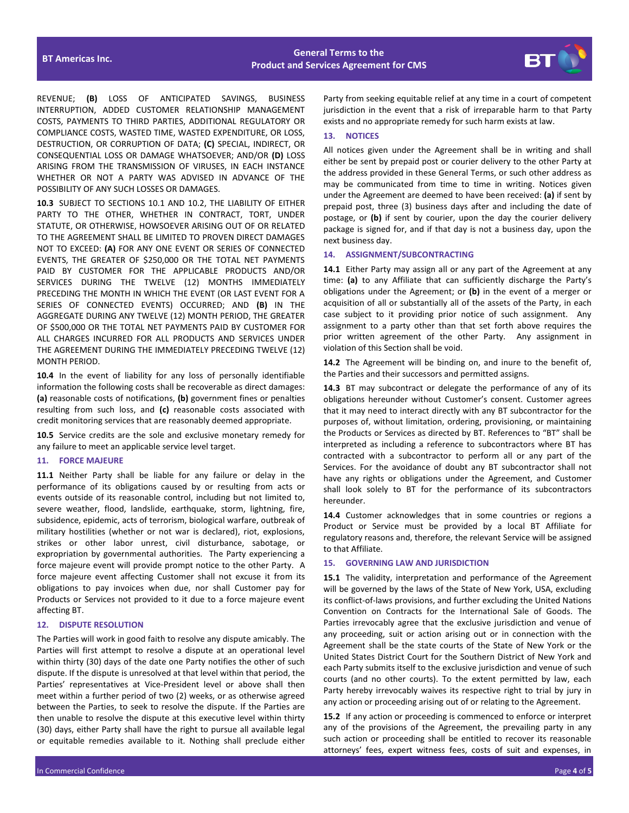

REVENUE; **(B)** LOSS OF ANTICIPATED SAVINGS, BUSINESS INTERRUPTION, ADDED CUSTOMER RELATIONSHIP MANAGEMENT COSTS, PAYMENTS TO THIRD PARTIES, ADDITIONAL REGULATORY OR COMPLIANCE COSTS, WASTED TIME, WASTED EXPENDITURE, OR LOSS, DESTRUCTION, OR CORRUPTION OF DATA; **(C)** SPECIAL, INDIRECT, OR CONSEQUENTIAL LOSS OR DAMAGE WHATSOEVER; AND/OR **(D)** LOSS ARISING FROM THE TRANSMISSION OF VIRUSES, IN EACH INSTANCE WHETHER OR NOT A PARTY WAS ADVISED IN ADVANCE OF THE POSSIBILITY OF ANY SUCH LOSSES OR DAMAGES.

**10.3** SUBJECT TO SECTIONS 10.1 AND 10.2, THE LIABILITY OF EITHER PARTY TO THE OTHER, WHETHER IN CONTRACT, TORT, UNDER STATUTE, OR OTHERWISE, HOWSOEVER ARISING OUT OF OR RELATED TO THE AGREEMENT SHALL BE LIMITED TO PROVEN DIRECT DAMAGES NOT TO EXCEED: **(A)** FOR ANY ONE EVENT OR SERIES OF CONNECTED EVENTS, THE GREATER OF \$250,000 OR THE TOTAL NET PAYMENTS PAID BY CUSTOMER FOR THE APPLICABLE PRODUCTS AND/OR SERVICES DURING THE TWELVE (12) MONTHS IMMEDIATELY PRECEDING THE MONTH IN WHICH THE EVENT (OR LAST EVENT FOR A SERIES OF CONNECTED EVENTS) OCCURRED; AND **(B)** IN THE AGGREGATE DURING ANY TWELVE (12) MONTH PERIOD, THE GREATER OF \$500,000 OR THE TOTAL NET PAYMENTS PAID BY CUSTOMER FOR ALL CHARGES INCURRED FOR ALL PRODUCTS AND SERVICES UNDER THE AGREEMENT DURING THE IMMEDIATELY PRECEDING TWELVE (12) MONTH PERIOD.

**10.4** In the event of liability for any loss of personally identifiable information the following costs shall be recoverable as direct damages: **(a)** reasonable costs of notifications, **(b)** government fines or penalties resulting from such loss, and **(c)** reasonable costs associated with credit monitoring services that are reasonably deemed appropriate.

**10.5** Service credits are the sole and exclusive monetary remedy for any failure to meet an applicable service level target.

### **11. FORCE MAJEURE**

**11.1** Neither Party shall be liable for any failure or delay in the performance of its obligations caused by or resulting from acts or events outside of its reasonable control, including but not limited to, severe weather, flood, landslide, earthquake, storm, lightning, fire, subsidence, epidemic, acts of terrorism, biological warfare, outbreak of military hostilities (whether or not war is declared), riot, explosions, strikes or other labor unrest, civil disturbance, sabotage, or expropriation by governmental authorities. The Party experiencing a force majeure event will provide prompt notice to the other Party. A force majeure event affecting Customer shall not excuse it from its obligations to pay invoices when due, nor shall Customer pay for Products or Services not provided to it due to a force majeure event affecting BT.

# **12. DISPUTE RESOLUTION**

The Parties will work in good faith to resolve any dispute amicably. The Parties will first attempt to resolve a dispute at an operational level within thirty (30) days of the date one Party notifies the other of such dispute. If the dispute is unresolved at that level within that period, the Parties' representatives at Vice-President level or above shall then meet within a further period of two (2) weeks, or as otherwise agreed between the Parties, to seek to resolve the dispute. If the Parties are then unable to resolve the dispute at this executive level within thirty (30) days, either Party shall have the right to pursue all available legal or equitable remedies available to it. Nothing shall preclude either

Party from seeking equitable relief at any time in a court of competent jurisdiction in the event that a risk of irreparable harm to that Party exists and no appropriate remedy for such harm exists at law.

# **13. NOTICES**

All notices given under the Agreement shall be in writing and shall either be sent by prepaid post or courier delivery to the other Party at the address provided in these General Terms, or such other address as may be communicated from time to time in writing. Notices given under the Agreement are deemed to have been received: **(a)** if sent by prepaid post, three (3) business days after and including the date of postage, or **(b)** if sent by courier, upon the day the courier delivery package is signed for, and if that day is not a business day, upon the next business day.

# **14. ASSIGNMENT/SUBCONTRACTING**

**14.1** Either Party may assign all or any part of the Agreement at any time: **(a)** to any Affiliate that can sufficiently discharge the Party's obligations under the Agreement; or **(b)** in the event of a merger or acquisition of all or substantially all of the assets of the Party, in each case subject to it providing prior notice of such assignment. Any assignment to a party other than that set forth above requires the prior written agreement of the other Party. Any assignment in violation of this Section shall be void.

**14.2** The Agreement will be binding on, and inure to the benefit of, the Parties and their successors and permitted assigns.

**14.3** BT may subcontract or delegate the performance of any of its obligations hereunder without Customer's consent. Customer agrees that it may need to interact directly with any BT subcontractor for the purposes of, without limitation, ordering, provisioning, or maintaining the Products or Services as directed by BT. References to "BT" shall be interpreted as including a reference to subcontractors where BT has contracted with a subcontractor to perform all or any part of the Services. For the avoidance of doubt any BT subcontractor shall not have any rights or obligations under the Agreement, and Customer shall look solely to BT for the performance of its subcontractors hereunder.

**14.4** Customer acknowledges that in some countries or regions a Product or Service must be provided by a local BT Affiliate for regulatory reasons and, therefore, the relevant Service will be assigned to that Affiliate.

# **15. GOVERNING LAW AND JURISDICTION**

**15.1** The validity, interpretation and performance of the Agreement will be governed by the laws of the State of New York, USA, excluding its conflict-of-laws provisions, and further excluding the United Nations Convention on Contracts for the International Sale of Goods. The Parties irrevocably agree that the exclusive jurisdiction and venue of any proceeding, suit or action arising out or in connection with the Agreement shall be the state courts of the State of New York or the United States District Court for the Southern District of New York and each Party submits itself to the exclusive jurisdiction and venue of such courts (and no other courts). To the extent permitted by law, each Party hereby irrevocably waives its respective right to trial by jury in any action or proceeding arising out of or relating to the Agreement.

**15.2** If any action or proceeding is commenced to enforce or interpret any of the provisions of the Agreement, the prevailing party in any such action or proceeding shall be entitled to recover its reasonable attorneys' fees, expert witness fees, costs of suit and expenses, in